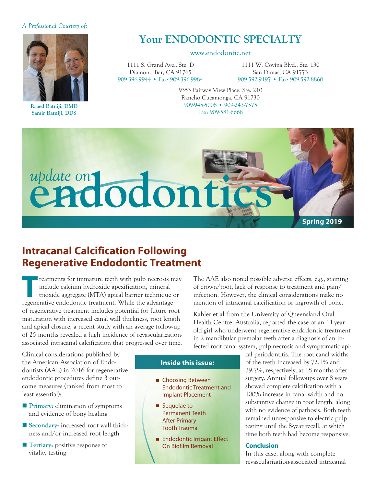#### *A Professional Courtesy of:*



**Raaed Batniji, DMD Samir Batniji, DDS**

# **Your ENDODONTIC SPECIALTY**

#### www.endodontic.net

1111 S. Grand Ave., Ste. D Diamond Bar, CA 91765 909-396-9944 • Fax: 909-396-9984

1111 W. Covina Blvd., Ste. 130 San Dimas, CA 91773 909-592-9197 • Fax: 909-592-8860

9353 Fairway View Place, Ste. 210 Rancho Cucamonga, CA 91730 909-945-5008 • 909-243-7575 Fax: 909-581-6668



## **Intracanal Calcification Following Regenerative Endodontic Treatment**

**Treatments for immature teeth with pulp necrosis may**<br>
include calcium hydroxide apexification, mineral<br>
trioxide aggregate (MTA) apical barrier technique or<br> **TREAD AREAD AND TREAD AND TREAD AND TREAD AND TREAD AND TREAD** include calcium hydroxide apexification, mineral regenerative endodontic treatment. While the advantage of regenerative treatment includes potential for future root maturation with increased canal wall thickness, root length and apical closure, a recent study with an average follow-up of 25 months revealed a high incidence of revascularizationassociated intracanal calcification that progressed over time.

Clinical considerations published by the American Association of Endodontists (AAE) in 2016 for regenerative endodontic procedures define 3 outcome measures (ranked from most to least essential):

- **Primary:** elimination of symptoms and evidence of bony healing
- Secondary: increased root wall thickness and/or increased root length
- **Tertiary:** positive response to vitality testing

The AAE also noted possible adverse effects, e.g., staining of crown/root, lack of response to treatment and pain/ infection. However, the clinical considerations make no mention of intracanal calcification or ingrowth of bone.

Kahler et al from the University of Queensland Oral Health Centre, Australia, reported the case of an 11-yearold girl who underwent regenerative endodontic treatment in 2 mandibular premolar teeth after a diagnosis of an infected root canal system, pulp necrosis and symptomatic api-

#### **Inside this issue:**

- Choosing Between Endodontic Treatment and Implant Placement
- Sequelae to Permanent Teeth After Primary Tooth Trauma
- Endodontic Irrigant Effect On Biofilm Removal

cal periodontitis. The root canal widths of the teeth increased by 72.1% and 39.7%, respectively, at 18 months after surgery. Annual follow-ups over 8 years showed complete calcification with a 100% increase in canal width and no substantive change in root length, along with no evidence of pathosis. Both teeth remained unresponsive to electric pulp testing until the 8-year recall, at which time both teeth had become responsive.

#### **Conclusion**

In this case, along with complete revascularization-associated intracanal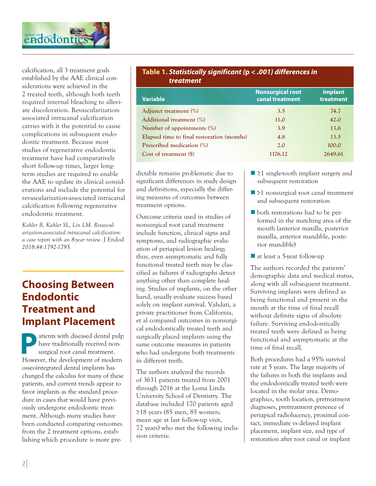

calcification, all 3 treatment goals established by the AAE clinical considerations were achieved in the 2 treated teeth, although both teeth required internal bleaching to alleviate discoloration. Revascularizationassociated intracanal calcification carries with it the potential to cause complications in subsequent endodontic treatment. Because most studies of regenerative endodontic treatment have had comparatively short follow-up times, larger longterm studies are required to enable the AAE to update its clinical considerations and include the potential for revascularization-associated intracanal calcification following regenerative endodontic treatment.

*Kahler B, Kahler SL, Lin LM. Revascularization-associated intracanal calcification: a case report with an 8-year review.* J Endod *2018;44:1792-1795.*

# **Choosing Between Endodontic Treatment and Implant Placement**

Patients with diseased dental pulp<br>have traditionally received non-<br>However, the development of modern have traditionally received nonsurgical root canal treatment. However, the development of modern osseointegrated dental implants has changed the calculus for many of these patients, and current trends appear to favor implants as the standard procedure in cases that would have previously undergone endodontic treatment. Although many studies have been conducted comparing outcomes from the 2 treatment options, establishing which procedure is more pre-

#### **Table 1.** *Statistically significant (***p** *< .001) differences in treatment*

| <b>Variable</b>                            | <b>Nonsurgical root</b><br>canal treatment | <b>Implant</b><br>treatment |
|--------------------------------------------|--------------------------------------------|-----------------------------|
| Adjunct treatment (%)                      | 3.5                                        | 74.7                        |
| Additional treatment (%)                   | 11.0                                       | 42.0                        |
| Number of appointments $(\%)$              | 3.9                                        | 13.6                        |
| Elapsed time to final restoration (months) | 4.8                                        | 13.5                        |
| Prescribed medication (%)                  | 2.0                                        | 100.0                       |
| Cost of treatment (\$)                     | 1176.12                                    | 2649.61                     |

dictable remains problematic due to significant differences in study design and definitions, especially the differing measures of outcomes between treatment options.

Outcome criteria used in studies of nonsurgical root canal treatment include function, clinical signs and symptoms, and radiographic evaluation of periapical lesion healing; thus, even asymptomatic and fully functional treated teeth may be classified as failures if radiographs detect anything other than complete healing. Studies of implants, on the other hand, usually evaluate success based solely on implant survival. Vahdati, a private practitioner from California, et al compared outcomes in nonsurgical endodontically treated teeth and surgically placed implants using the same outcome measures in patients who had undergone both treatments in different teeth.

The authors analyzed the records of 3631 patients treated from 2001 through 2016 at the Loma Linda University School of Dentistry. The database included 170 patients aged ≥18 years (85 men, 85 women; mean age at last follow-up visit, 72 years) who met the following inclusion criteria:

- $\blacksquare$  ≥1 single-tooth implant surgery and subsequent restoration
- $\blacksquare$  ≥1 nonsurgical root canal treatment and subsequent restoration
- both restorations had to be performed in the matching area of the mouth (anterior maxilla, posterior maxilla, anterior mandible, posterior mandible)
- $\blacksquare$  at least a 5-year follow-up

The authors recorded the patients' demographic data and medical status, along with all subsequent treatment. Surviving implants were defined as being functional and present in the mouth at the time of final recall without definite signs of absolute failure. Surviving endodontically treated teeth were defined as being functional and asymptomatic at the time of final recall.

Both procedures had a 95% survival rate at 5 years. The large majority of the failures in both the implants and the endodontically treated teeth were located in the molar area. Demographics, tooth location, pretreatment diagnoses, pretreatment presence of periapical radiolucency, proximal contact, immediate vs delayed implant placement, implant size, and type of restoration after root canal or implant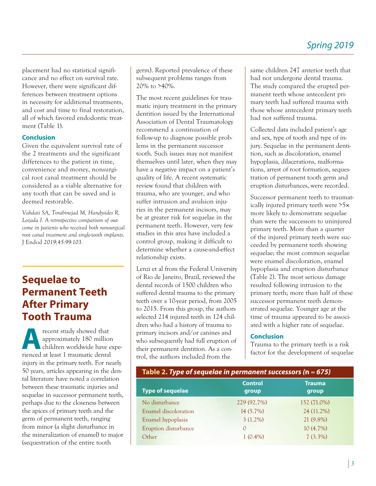placement had no statistical significance and no effect on survival rate. However, there were significant differences between treatment options in necessity for additional treatments, and cost and time to final restoration, all of which favored endodontic treatment (Table 1).

### **Conclusion**

Given the equivalent survival rate of the 2 treatments and the significant differences to the patient in time, convenience and money, nonsurgical root canal treatment should be considered as a viable alternative for any tooth that can be saved and is deemed restorable.

*Vahdati SA, Torabinejad M, Handysides R, Lozada J. A retrospective comparison of outcome in patients who received both nonsurgical root canal treatment and single-tooth implants.*  J Endod *2019;45:99-103.*

# **Sequelae to Permanent Teeth After Primary Tooth Trauma**

**A**recent study showed that<br>approximately 180 million<br>children worldwide have approximately 180 million children worldwide have experienced at least 1 traumatic dental injury in the primary teeth. For nearly 50 years, articles appearing in the dental literature have noted a correlation between these traumatic injuries and sequelae in successor permanent teeth, perhaps due to the closeness between the apices of primary teeth and the germ of permanent teeth, ranging from minor (a slight disturbance in the mineralization of enamel) to major (sequestration of the entire tooth

germ). Reported prevalence of these subsequent problems ranges from 20% to >40%.

The most recent guidelines for traumatic injury treatment in the primary dentition issued by the International Association of Dental Traumatology recommend a continuation of follow-up to diagnose possible problems in the permanent successor tooth. Such issues may not manifest themselves until later, when they may have a negative impact on a patient's quality of life. A recent systematic review found that children with trauma, who are younger, and who suffer intrusion and avulsion injuries in the permanent incisors, may be at greater risk for sequelae in the permanent teeth. However, very few studies in this area have included a control group, making it difficult to determine whether a cause-and-effect relationship exists.

Lenzi et al from the Federal University of Rio de Janeiro, Brazil, reviewed the dental records of 1500 children who suffered dental trauma to the primary teeth over a 10-year period, from 2005 to 2015. From this group, the authors selected 214 injured teeth in 124 children who had a history of trauma to primary incisors and/or canines and who subsequently had full eruption of their permanent dentition. As a control, the authors included from the

same children 247 anterior teeth that had not undergone dental trauma. The study compared the erupted permanent teeth whose antecedent primary teeth had suffered trauma with those whose antecedent primary teeth had not suffered trauma.

Collected data included patient's age and sex, type of tooth and type of injury. Sequelae in the permanent dentition, such as discoloration, enamel hypoplasia, dilacerations, malformations, arrest of root formation, sequestration of permanent tooth germ and eruption disturbances, were recorded.

Successor permanent teeth to traumatically injured primary teeth were >5× more likely to demonstrate sequelae than were the successors to uninjured primary teeth. More than a quarter of the injured primary teeth were succeeded by permanent teeth showing sequelae; the most common sequelae were enamel discoloration, enamel hypoplasia and eruption disturbance (Table 2). The most serious damage resulted following intrusion to the primary teeth; more than half of these successor permanent teeth demonstrated sequelae. Younger age at the time of trauma appeared to be associated with a higher rate of sequelae.

### **Conclusion**

Trauma to the primary teeth is a risk factor for the development of sequelae

| Table 2. Type of sequelae in permanent successors ( $n = 675$ ) |                         |                        |  |
|-----------------------------------------------------------------|-------------------------|------------------------|--|
| <b>Type of sequelae</b>                                         | <b>Control</b><br>group | <b>Trauma</b><br>group |  |
| No disturbance                                                  | 229 (92.7%)             | 152 (71.0%)            |  |
| Enamel discoloration                                            | 14 (5.7%)               | 24 (11.2%)             |  |
| Enamel hypoplasia                                               | $3(1.2\%)$              | 21 (9.8%)              |  |
| Eruption disturbance                                            | $\Omega$                | 10(4.7%)               |  |
| Other                                                           | $1(0.4\%)$              | $7(3.3\%)$             |  |